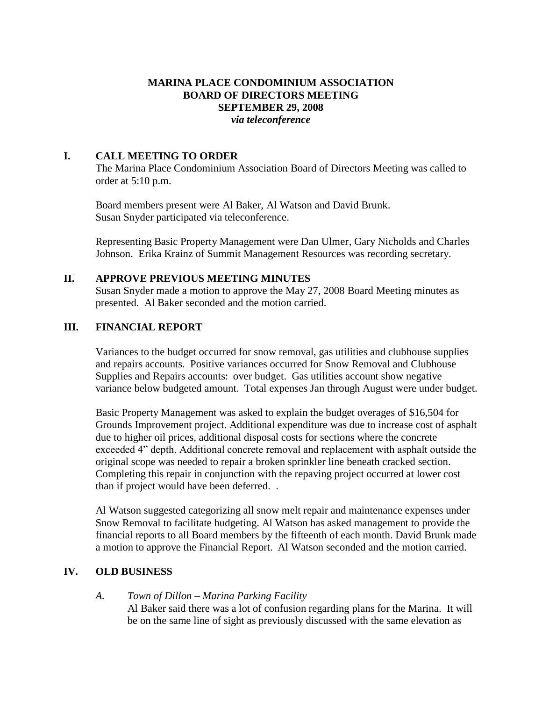# **MARINA PLACE CONDOMINIUM ASSOCIATION BOARD OF DIRECTORS MEETING SEPTEMBER 29, 2008** *via teleconference*

### **I. CALL MEETING TO ORDER**

The Marina Place Condominium Association Board of Directors Meeting was called to order at 5:10 p.m.

Board members present were Al Baker, Al Watson and David Brunk. Susan Snyder participated via teleconference.

Representing Basic Property Management were Dan Ulmer, Gary Nicholds and Charles Johnson. Erika Krainz of Summit Management Resources was recording secretary.

### **II. APPROVE PREVIOUS MEETING MINUTES**

Susan Snyder made a motion to approve the May 27, 2008 Board Meeting minutes as presented. Al Baker seconded and the motion carried.

# **III. FINANCIAL REPORT**

Variances to the budget occurred for snow removal, gas utilities and clubhouse supplies and repairs accounts. Positive variances occurred for Snow Removal and Clubhouse Supplies and Repairs accounts: over budget. Gas utilities account show negative variance below budgeted amount. Total expenses Jan through August were under budget.

Basic Property Management was asked to explain the budget overages of \$16,504 for Grounds Improvement project. Additional expenditure was due to increase cost of asphalt due to higher oil prices, additional disposal costs for sections where the concrete exceeded 4" depth. Additional concrete removal and replacement with asphalt outside the original scope was needed to repair a broken sprinkler line beneath cracked section. Completing this repair in conjunction with the repaving project occurred at lower cost than if project would have been deferred. .

Al Watson suggested categorizing all snow melt repair and maintenance expenses under Snow Removal to facilitate budgeting. Al Watson has asked management to provide the financial reports to all Board members by the fifteenth of each month. David Brunk made a motion to approve the Financial Report. Al Watson seconded and the motion carried.

#### **IV. OLD BUSINESS**

# *A. Town of Dillon – Marina Parking Facility*

Al Baker said there was a lot of confusion regarding plans for the Marina. It will be on the same line of sight as previously discussed with the same elevation as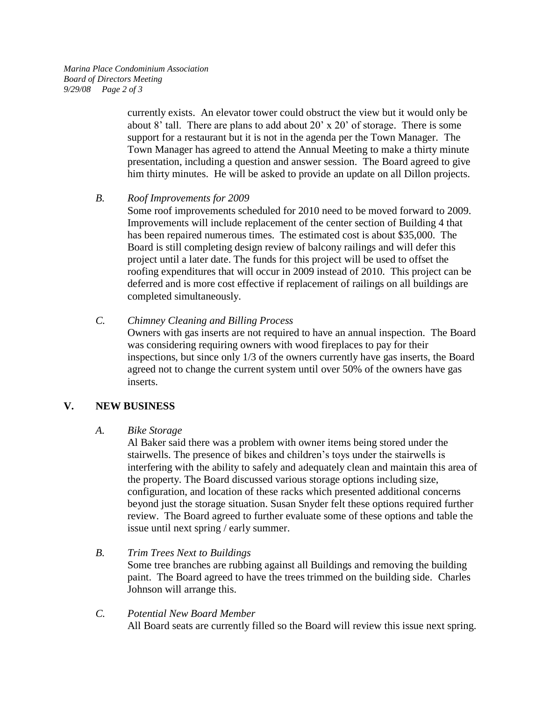currently exists. An elevator tower could obstruct the view but it would only be about 8' tall. There are plans to add about 20' x 20' of storage. There is some support for a restaurant but it is not in the agenda per the Town Manager. The Town Manager has agreed to attend the Annual Meeting to make a thirty minute presentation, including a question and answer session. The Board agreed to give him thirty minutes. He will be asked to provide an update on all Dillon projects.

### *B. Roof Improvements for 2009*

Some roof improvements scheduled for 2010 need to be moved forward to 2009. Improvements will include replacement of the center section of Building 4 that has been repaired numerous times. The estimated cost is about \$35,000. The Board is still completing design review of balcony railings and will defer this project until a later date. The funds for this project will be used to offset the roofing expenditures that will occur in 2009 instead of 2010. This project can be deferred and is more cost effective if replacement of railings on all buildings are completed simultaneously.

### *C. Chimney Cleaning and Billing Process*

Owners with gas inserts are not required to have an annual inspection. The Board was considering requiring owners with wood fireplaces to pay for their inspections, but since only 1/3 of the owners currently have gas inserts, the Board agreed not to change the current system until over 50% of the owners have gas inserts.

# **V. NEW BUSINESS**

#### *A. Bike Storage*

Al Baker said there was a problem with owner items being stored under the stairwells. The presence of bikes and children's toys under the stairwells is interfering with the ability to safely and adequately clean and maintain this area of the property. The Board discussed various storage options including size, configuration, and location of these racks which presented additional concerns beyond just the storage situation. Susan Snyder felt these options required further review. The Board agreed to further evaluate some of these options and table the issue until next spring / early summer.

# *B. Trim Trees Next to Buildings*

Some tree branches are rubbing against all Buildings and removing the building paint. The Board agreed to have the trees trimmed on the building side. Charles Johnson will arrange this.

# *C. Potential New Board Member* All Board seats are currently filled so the Board will review this issue next spring.